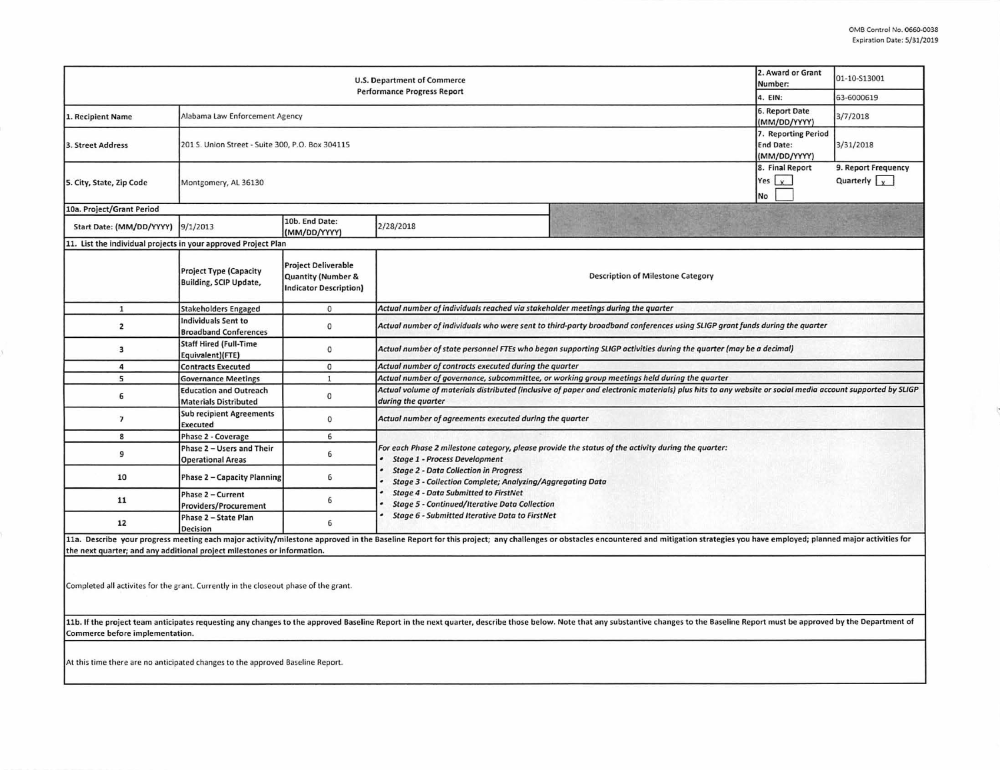ŀ

|                                                                         | 2. Award or Grant<br>Number:                                         | 01-10-S13001                                                               |                                                                                                                                                                                |                                                                                                                                                                                                                                |  |                                             |  |  |  |
|-------------------------------------------------------------------------|----------------------------------------------------------------------|----------------------------------------------------------------------------|--------------------------------------------------------------------------------------------------------------------------------------------------------------------------------|--------------------------------------------------------------------------------------------------------------------------------------------------------------------------------------------------------------------------------|--|---------------------------------------------|--|--|--|
|                                                                         | 4. EIN:                                                              | 63-6000619                                                                 |                                                                                                                                                                                |                                                                                                                                                                                                                                |  |                                             |  |  |  |
| 1. Recipient Name                                                       | Alabama Law Enforcement Agency                                       | 6. Report Date<br>(MM/DD/YYYY)                                             | 3/7/2018                                                                                                                                                                       |                                                                                                                                                                                                                                |  |                                             |  |  |  |
| 3. Street Address                                                       | 201 S. Union Street - Suite 300, P.O. Box 304115                     | 7. Reporting Period<br><b>End Date:</b><br>(MM/DD/YYYY)                    | 3/31/2018                                                                                                                                                                      |                                                                                                                                                                                                                                |  |                                             |  |  |  |
| 5. City, State, Zip Code                                                | 8. Final Report<br>Yes $\vert x \vert$<br>Montgomery, AL 36130<br>No |                                                                            |                                                                                                                                                                                |                                                                                                                                                                                                                                |  | 9. Report Frequency<br>Quarterly $\sqrt{y}$ |  |  |  |
| 10a. Project/Grant Period                                               |                                                                      |                                                                            |                                                                                                                                                                                |                                                                                                                                                                                                                                |  |                                             |  |  |  |
| Start Date: (MM/DD/YYYY) 9/1/2013                                       |                                                                      | 10b. End Date:<br>(MM/DD/YYYY)                                             | 2/28/2018                                                                                                                                                                      |                                                                                                                                                                                                                                |  |                                             |  |  |  |
| 11. List the individual projects in your approved Project Plan          |                                                                      |                                                                            |                                                                                                                                                                                |                                                                                                                                                                                                                                |  |                                             |  |  |  |
|                                                                         | <b>Project Type (Capacity</b><br>Building, SCIP Update,              | <b>Project Deliverable</b><br>Quantity (Number &<br>Indicator Description) | <b>Description of Milestone Category</b>                                                                                                                                       |                                                                                                                                                                                                                                |  |                                             |  |  |  |
| $\mathbf{1}$                                                            | <b>Stakeholders Engaged</b>                                          | $\mathbf{0}$                                                               | Actual number of individuals reached via stakeholder meetings during the quarter                                                                                               |                                                                                                                                                                                                                                |  |                                             |  |  |  |
| 2                                                                       | <b>Individuals Sent to</b><br><b>Broadband Conferences</b>           | 0                                                                          | Actual number of individuals who were sent to third-party broadband conferences using SLIGP grant funds during the quarter                                                     |                                                                                                                                                                                                                                |  |                                             |  |  |  |
| 3                                                                       | <b>Staff Hired (Full-Time</b><br>Equivalent)(FTE)                    | $\mathbf{0}$                                                               | Actual number of state personnel FTEs who began supporting SLIGP activities during the quarter (may be a decimal)                                                              |                                                                                                                                                                                                                                |  |                                             |  |  |  |
| 4                                                                       | <b>Contracts Executed</b>                                            | $\mathbf 0$                                                                | Actual number of contracts executed during the quarter                                                                                                                         |                                                                                                                                                                                                                                |  |                                             |  |  |  |
| 5                                                                       | <b>Governance Meetings</b>                                           | $\mathbf{1}$                                                               | Actual number of governance, subcommittee, or working group meetings held during the quarter                                                                                   |                                                                                                                                                                                                                                |  |                                             |  |  |  |
| 6                                                                       | <b>Education and Outreach</b><br><b>Materials Distributed</b>        | $\mathbf 0$                                                                | Actual volume of materials distributed (inclusive of paper and electronic materials) plus hits to any website or social media account supported by SLIGP<br>during the quarter |                                                                                                                                                                                                                                |  |                                             |  |  |  |
| 7                                                                       | <b>Sub recipient Agreements</b><br><b>Executed</b>                   | 0                                                                          | Actual number of agreements executed during the quarter                                                                                                                        |                                                                                                                                                                                                                                |  |                                             |  |  |  |
| 8                                                                       | Phase 2 - Coverage                                                   | 6                                                                          |                                                                                                                                                                                |                                                                                                                                                                                                                                |  |                                             |  |  |  |
| 9                                                                       | Phase 2 - Users and Their<br><b>Operational Areas</b>                | 6                                                                          | For each Phase 2 milestone category, please provide the status of the activity during the quarter:<br><b>Stage 1 - Process Development</b>                                     |                                                                                                                                                                                                                                |  |                                             |  |  |  |
| 10                                                                      | <b>Phase 2 - Capacity Planning</b>                                   | 6                                                                          | <b>Stage 2 - Data Collection in Progress</b><br>Stage 3 - Collection Complete; Analyzing/Aggregating Data                                                                      |                                                                                                                                                                                                                                |  |                                             |  |  |  |
| 11                                                                      | Phase 2 - Current<br><b>Providers/Procurement</b>                    | 6                                                                          | <b>Stage 4 - Data Submitted to FirstNet</b><br><b>Stage 5 - Continued/Iterative Data Collection</b><br><b>Stage 6 - Submitted Iterative Data to FirstNet</b>                   |                                                                                                                                                                                                                                |  |                                             |  |  |  |
| 12                                                                      | Phase 2 - State Plan<br><b>Decision</b>                              | 6                                                                          |                                                                                                                                                                                |                                                                                                                                                                                                                                |  |                                             |  |  |  |
| the next quarter; and any additional project milestones or information. |                                                                      |                                                                            |                                                                                                                                                                                | 11a. Describe your progress meeting each major activity/milestone approved in the Baseline Report for this project; any challenges or obstacles encountered and mitigation strategies you have employed; planned major activit |  |                                             |  |  |  |

Completed all activites for the grant. Currently in the closeout phase of the grant.

11b. If the project team anticipates requesting any changes to the approved Baseline Report in the next quarter, describe those below. Note that any substantive changes to the Baseline Report must be approved by the Depart **Commerce before implementation.** 

**At this time there are no anticipated changes to the approved Baseline Report.**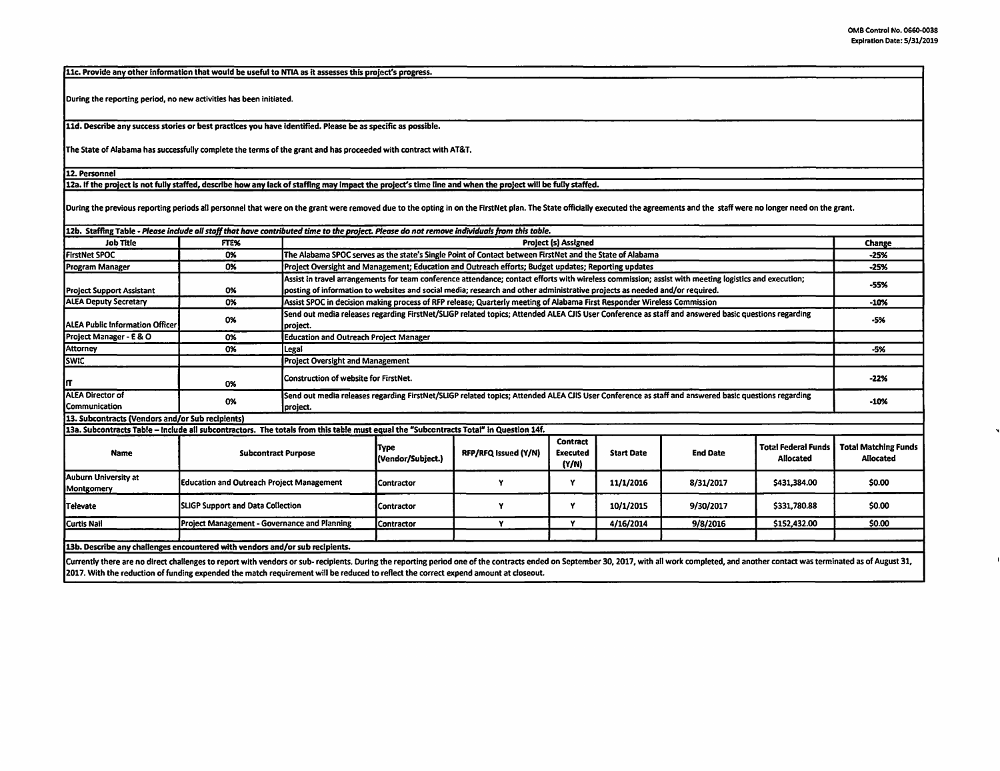11c. Provide any other information that would be useful to NTIA as it assesses this project's progress. During the reporting period, no new activities has been initiated. 11d. Describe any success stories or best practices you have Identified. Please be as specific as possible. The State of Alabama has successfully complete the terms of the grant and has proceeded with contract with AT&T. 12. Personnel 12a. If the project is not fully staffed, describe how any lack of staffing may impact the project's time line and when the project will be fully staffed. During the previous reporting periods all personnel that were on the grant were removed due to the opting in on the FirstNet plan. The State officially executed the agreements and the staff were no longer need on the grant 12b. Staffing Table - Please include all staff that have contributed time to the project. Please do not remove individuals from this table. Job Title FYE% Project (s) **Assigned** Change FirstNet SPOC **The Alabama SPOC serves as the state's Single Point of Contact between FirstNet and the State of Alabama <b>FirstNet and the State of Alabama -25% 1999 -25% 1999 -25%** Program Manager **1988 1989 Consumersight and Management; Education and Outreach efforts; Budget updates, Reporting updates <b>-25% 1999** -25% **-25%**  -25% **-25%**  -25% **-25%**  -25% **-25%**  -25% **-25%**  -25% **-25%**  -25% **-25** Assist in travel arrangements for team conference attendance; contact efforts with wireless commission; assist with meeting logistics and execution;<br>Project Support Assistant 0% posting of information to websites and socia ALEA Deputy Secretary 1986 1986 Assist SPOC in decision making process of RFP release; Quarterly meeting of Alabama First Responder Wireless Commission -10% -10% 0% Send out media releases regarding FirstNet/SLIGP related topics; Attended ALEA CJIS User Conference as staff and answered basic questions regarding -5% **project.** 1996-1997 - 1998 **Public Information Officer** project. Project Manager - E & O **0% Education and Outreach Project Manager** Attorney 0% Legal -5% SWIC **Project Oversight and Management** IT 0% Construction of website for FirstNet. **-22%**  ALEA Director of Send out media releases regarding FirstNet/SLIGP related topics; Attended ALEA CJIS User Conference as staff and answered basic questions regarding Communication 0% project. - project. - provided by the contract of the contract of the contract of the contract of the contract of the contract of the contract of the contract of the contract of the contract of the contrac 13. **Subcontracts (Vendors and/or Sub recipients) 13a. Subcontracts Table** - **Include all subcontractors.** The **totals from** this **table** must **equal** the **"Subcontracts** Total# **In Question 14f. Type Contract** Total **Federal Funds Total Matching Funds Name Subcontract Purpose RFP/RFQ** Issued (Y/N) **Executed** Start **Date** End Date (Vendor/Subject.) **(Y/N)** Allocated Allocated Auburn University at Education and Outreach Project Management Contractor (Contractor V y 11/1/2016 8/31/2017 \$431,384.00 \$0.00 \$0.00 \$0.00 \$0.00 \$0.00 \$0.00 \$0.00 \$1.00 \$0.00 \$0.00 \$1.00 \$1.00 \$1.00 \$1.00 \$1.00 \$1.00 \$1.0 Televate SLIGP Support and Data Collection (Contractor | Y | 10/1/2015 9/30/2017 | \$331,780.88 | \$0.00 Curtis Nail Project Management • Governance and Planning Contractor | Y | 4/16/2014 9/8/2016 \$152,432.00 \$0.00 13b. Describe any challenges encountered with vendors and/or sub recipients.

Currently there are no direct challenges to report with vendors or sub- recipients. During the reporting period one of the contracts ended on September 30, 2017, with all work completed, and another contact was terminated 2017. With the reduction of funding expended the match requirement will be reduced to reflect the correct expend amount at doseout.